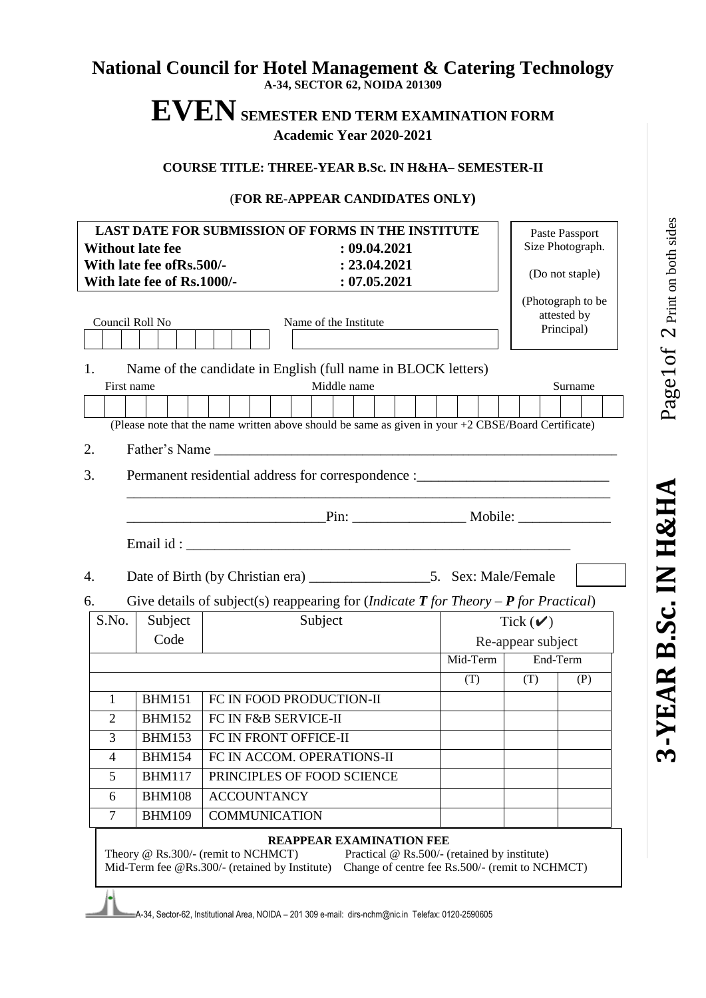# Page1of 2 Print on both sides  $1$  Of  $\,2$  Print on both sides **-YEAR B.Sc. IN H&HA** Page 3-YEAR B.Sc. IN H&HA

# **National Council for Hotel Management & Catering Technology**

**A-34, SECTOR 62, NOIDA 201309**

# **EVENSEMESTER END TERM EXAMINATION FORM Academic Year 2020-2021**

**COURSE TITLE: THREE-YEAR B.Sc. IN H&HA– SEMESTER-II**

### (**FOR RE-APPEAR CANDIDATES ONLY)**

| <b>Without late fee</b>                                                                                                                                                                                            | With late fee of Rs.500/-<br>With late fee of Rs.1000/- | <b>LAST DATE FOR SUBMISSION OF FORMS IN THE INSTITUTE</b><br>: 09.04.2021<br>: 23.04.2021<br>: 07.05.2021                |                                                                                                 |                   | Paste Passport<br>Size Photograph.<br>(Do not staple) |  |  |  |
|--------------------------------------------------------------------------------------------------------------------------------------------------------------------------------------------------------------------|---------------------------------------------------------|--------------------------------------------------------------------------------------------------------------------------|-------------------------------------------------------------------------------------------------|-------------------|-------------------------------------------------------|--|--|--|
| Council Roll No<br>Name of the Institute                                                                                                                                                                           |                                                         |                                                                                                                          |                                                                                                 |                   | (Photograph to be<br>attested by<br>Principal)        |  |  |  |
| Name of the candidate in English (full name in BLOCK letters)<br>1.<br>Middle name<br>Surname<br>First name<br>(Please note that the name written above should be same as given in your +2 CBSE/Board Certificate) |                                                         |                                                                                                                          |                                                                                                 |                   |                                                       |  |  |  |
| Father's Name<br>2.                                                                                                                                                                                                |                                                         |                                                                                                                          |                                                                                                 |                   |                                                       |  |  |  |
| 3.<br>Permanent residential address for correspondence :______________________________                                                                                                                             |                                                         |                                                                                                                          |                                                                                                 |                   |                                                       |  |  |  |
|                                                                                                                                                                                                                    |                                                         |                                                                                                                          |                                                                                                 |                   |                                                       |  |  |  |
|                                                                                                                                                                                                                    |                                                         |                                                                                                                          |                                                                                                 |                   |                                                       |  |  |  |
| 4.                                                                                                                                                                                                                 |                                                         |                                                                                                                          |                                                                                                 |                   |                                                       |  |  |  |
| 6.                                                                                                                                                                                                                 |                                                         | Give details of subject(s) reappearing for ( <i>Indicate</i> $T$ <i>for Theory - <b>P</b> for Practical</i> )            |                                                                                                 |                   |                                                       |  |  |  |
| S.No.                                                                                                                                                                                                              | Subject                                                 | Subject                                                                                                                  |                                                                                                 | Tick $(\vee)$     |                                                       |  |  |  |
|                                                                                                                                                                                                                    | Code                                                    |                                                                                                                          |                                                                                                 | Re-appear subject |                                                       |  |  |  |
|                                                                                                                                                                                                                    |                                                         |                                                                                                                          | Mid-Term                                                                                        | End-Term          |                                                       |  |  |  |
|                                                                                                                                                                                                                    |                                                         |                                                                                                                          | (T)                                                                                             | (T)               | (P)                                                   |  |  |  |
| 1                                                                                                                                                                                                                  | <b>BHM151</b>                                           | FC IN FOOD PRODUCTION-II                                                                                                 |                                                                                                 |                   |                                                       |  |  |  |
| 2                                                                                                                                                                                                                  | <b>BHM152</b>                                           | FC IN F&B SERVICE-II                                                                                                     |                                                                                                 |                   |                                                       |  |  |  |
| 3                                                                                                                                                                                                                  | <b>BHM153</b>                                           | FC IN FRONT OFFICE-II                                                                                                    |                                                                                                 |                   |                                                       |  |  |  |
| $\overline{\mathbf{4}}$                                                                                                                                                                                            | <b>BHM154</b>                                           | FC IN ACCOM. OPERATIONS-II                                                                                               |                                                                                                 |                   |                                                       |  |  |  |
| 5                                                                                                                                                                                                                  | <b>BHM117</b>                                           | PRINCIPLES OF FOOD SCIENCE                                                                                               |                                                                                                 |                   |                                                       |  |  |  |
| 6                                                                                                                                                                                                                  | <b>BHM108</b>                                           | <b>ACCOUNTANCY</b>                                                                                                       |                                                                                                 |                   |                                                       |  |  |  |
| 7                                                                                                                                                                                                                  | <b>BHM109</b>                                           | <b>COMMUNICATION</b>                                                                                                     |                                                                                                 |                   |                                                       |  |  |  |
|                                                                                                                                                                                                                    |                                                         | <b>REAPPEAR EXAMINATION FEE</b><br>Theory @ Rs.300/- (remit to NCHMCT)<br>Mid-Term fee @Rs.300/- (retained by Institute) | Practical @ Rs.500/- (retained by institute)<br>Change of centre fee Rs.500/- (remit to NCHMCT) |                   |                                                       |  |  |  |
| A-34, Sector-62, Institutional Area, NOIDA - 201 309 e-mail: dirs-nchm@nic.in Telefax: 0120-2590605                                                                                                                |                                                         |                                                                                                                          |                                                                                                 |                   |                                                       |  |  |  |